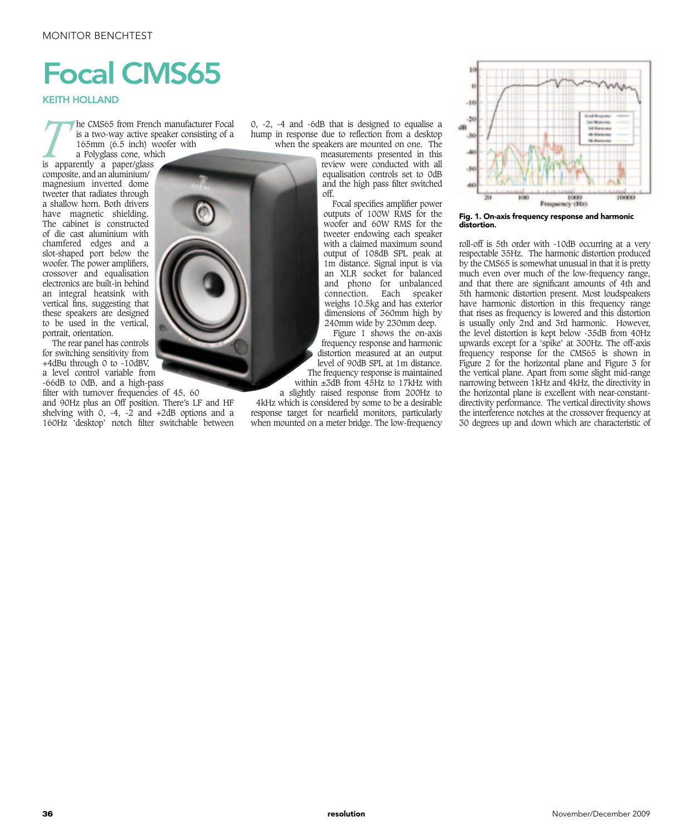## Focal CMS65

KEITH HOLLAND

*T* he CMS65 from French manufacturer Focal is a two-way active speaker consisting of a 165mm (6.5 inch) woofer with a Polyglass cone, which

is apparently a paper/glass composite, and an aluminium/ magnesium inverted dome tweeter that radiates through a shallow horn. Both drivers have magnetic shielding. The cabinet is constructed of die cast aluminium with chamfered edges and a slot-shaped port below the woofer. The power amplifiers, crossover and equalisation electronics are built-in behind an integral heatsink with vertical fins, suggesting that these speakers are designed to be used in the vertical, portrait, orientation.

The rear panel has controls for switching sensitivity from +4dBu through 0 to -10dBV, a level control variable from -66dB to 0dB, and a high-pass

filter with turnover frequencies of 45, 60 and 90Hz plus an Off position. There's LF and HF shelving with 0, -4, -2 and  $+2dB$  options and a 160Hz 'desktop' notch filter switchable between

0, -2, -4 and -6dB that is designed to equalise a hump in response due to reflection from a desktop when the speakers are mounted on one. The

measurements presented in this review were conducted with all equalisation controls set to 0dB and the high pass filter switched off.

Focal specifies amplifier power outputs of 100W RMS for the woofer and 60W RMS for the tweeter endowing each speaker with a claimed maximum sound output of 108dB SPL peak at 1m distance. Signal input is via an XLR socket for balanced and phono for unbalanced connection. Each speaker weighs 10.5kg and has exterior dimensions of 360mm high by 240mm wide by 230mm deep.

Figure 1 shows the on-axis frequency response and harmonic distortion measured at an output level of 90dB SPL at 1m distance. The frequency response is maintained within  $\pm 3d\hat{B}$  from  $4\hat{S}$ Hz to  $17kHz$  with

a slightly raised response from 200Hz to 4kHz which is considered by some to be a desirable response target for nearfield monitors, particularly when mounted on a meter bridge. The low-frequency



Fig. 1. On-axis frequency response and harmonic distortion.

roll-off is 5th order with -10dB occurring at a very respectable 35Hz. The harmonic distortion produced by the CMS65 is somewhat unusual in that it is pretty much even over much of the low-frequency range, and that there are significant amounts of 4th and 5th harmonic distortion present. Most loudspeakers have harmonic distortion in this frequency range that rises as frequency is lowered and this distortion is usually only 2nd and 3rd harmonic. However, the level distortion is kept below -35dB from 40Hz upwards except for a 'spike' at 300Hz. The off-axis frequency response for the CMS65 is shown in Figure 2 for the horizontal plane and Figure 3 for the vertical plane. Apart from some slight mid-range narrowing between 1kHz and 4kHz, the directivity in the horizontal plane is excellent with near-constantdirectivity performance. The vertical directivity shows the interference notches at the crossover frequency at 30 degrees up and down which are characteristic of